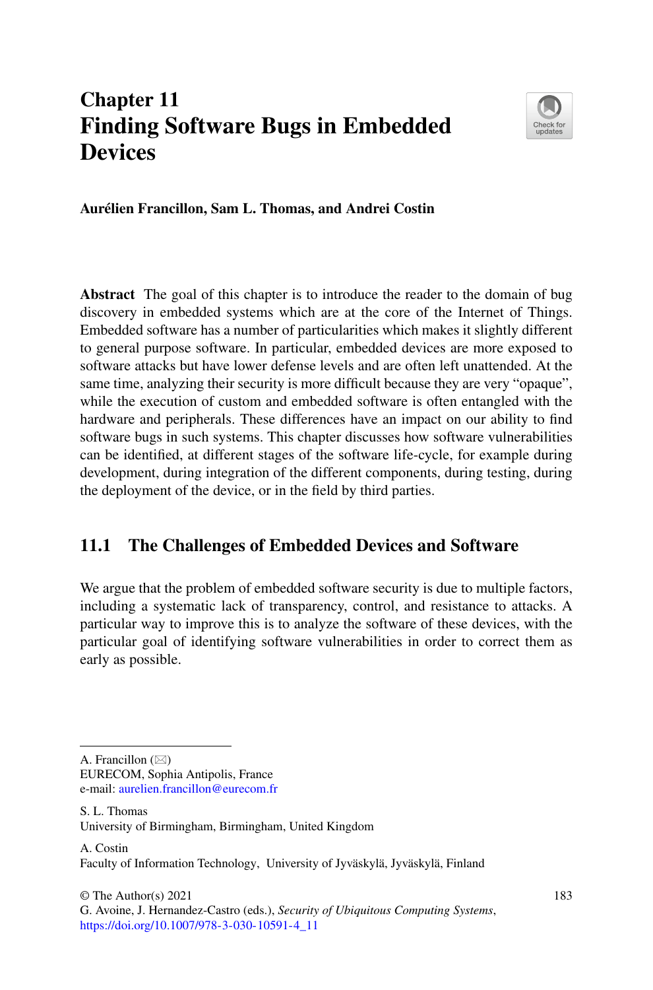# **Chapter 11 Finding Software Bugs in Embedded Devices**



**Aurélien Francillon, Sam L. Thomas, and Andrei Costin**

**Abstract** The goal of this chapter is to introduce the reader to the domain of bug discovery in embedded systems which are at the core of the Internet of Things. Embedded software has a number of particularities which makes it slightly different to general purpose software. In particular, embedded devices are more exposed to software attacks but have lower defense levels and are often left unattended. At the same time, analyzing their security is more difficult because they are very "opaque", while the execution of custom and embedded software is often entangled with the hardware and peripherals. These differences have an impact on our ability to find software bugs in such systems. This chapter discusses how software vulnerabilities can be identified, at different stages of the software life-cycle, for example during development, during integration of the different components, during testing, during the deployment of the device, or in the field by third parties.

## **11.1 The Challenges of Embedded Devices and Software**

We argue that the problem of embedded software security is due to multiple factors, including a systematic lack of transparency, control, and resistance to attacks. A particular way to improve this is to analyze the software of these devices, with the particular goal of identifying software vulnerabilities in order to correct them as early as possible.

A. Francillon  $(\boxtimes)$ 

EURECOM, Sophia Antipolis, France e-mail: [aurelien.francillon@eurecom.fr](mailto:aurelien.francillon@eurecom.fr)

S. L. Thomas University of Birmingham, Birmingham, United Kingdom

A. Costin Faculty of Information Technology, University of Jyväskylä, Jyväskylä, Finland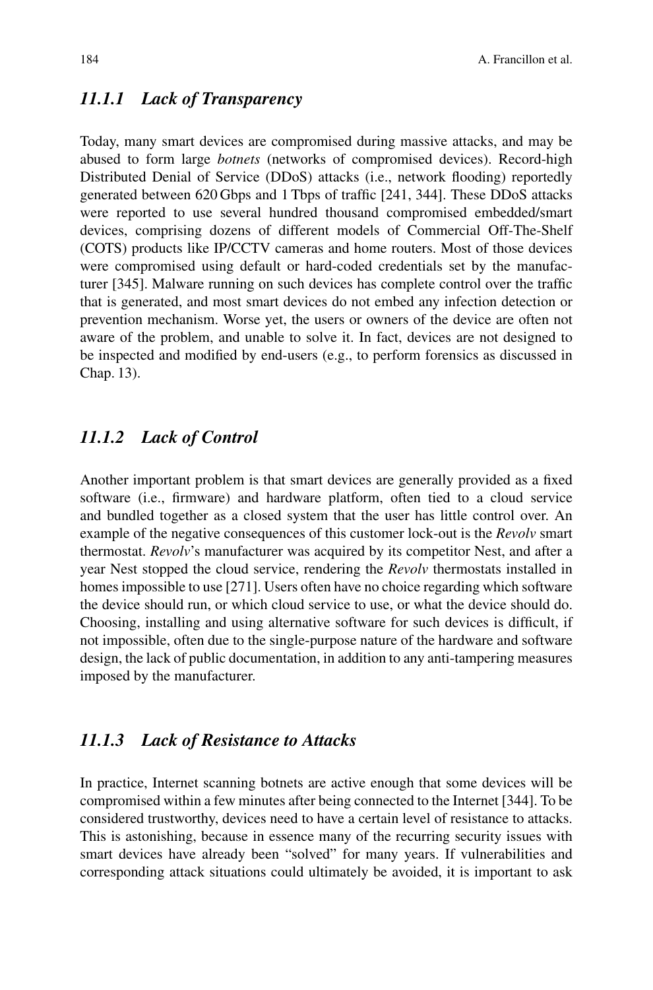## *11.1.1 Lack of Transparency*

Today, many smart devices are compromised during massive attacks, and may be abused to form large *botnets* (networks of compromised devices). Record-high Distributed Denial of Service (DDoS) attacks (i.e., network flooding) reportedly generated between 620 Gbps and 1 Tbps of traffic [241, 344]. These DDoS attacks were reported to use several hundred thousand compromised embedded/smart devices, comprising dozens of different models of Commercial Off-The-Shelf (COTS) products like IP/CCTV cameras and home routers. Most of those devices were compromised using default or hard-coded credentials set by the manufacturer [345]. Malware running on such devices has complete control over the traffic that is generated, and most smart devices do not embed any infection detection or prevention mechanism. Worse yet, the users or owners of the device are often not aware of the problem, and unable to solve it. In fact, devices are not designed to be inspected and modified by end-users (e.g., to perform forensics as discussed in Chap. 13).

## *11.1.2 Lack of Control*

Another important problem is that smart devices are generally provided as a fixed software (i.e., firmware) and hardware platform, often tied to a cloud service and bundled together as a closed system that the user has little control over. An example of the negative consequences of this customer lock-out is the *Revolv* smart thermostat. *Revolv*'s manufacturer was acquired by its competitor Nest, and after a year Nest stopped the cloud service, rendering the *Revolv* thermostats installed in homes impossible to use [271]. Users often have no choice regarding which software the device should run, or which cloud service to use, or what the device should do. Choosing, installing and using alternative software for such devices is difficult, if not impossible, often due to the single-purpose nature of the hardware and software design, the lack of public documentation, in addition to any anti-tampering measures imposed by the manufacturer.

#### *11.1.3 Lack of Resistance to Attacks*

In practice, Internet scanning botnets are active enough that some devices will be compromised within a few minutes after being connected to the Internet [344]. To be considered trustworthy, devices need to have a certain level of resistance to attacks. This is astonishing, because in essence many of the recurring security issues with smart devices have already been "solved" for many years. If vulnerabilities and corresponding attack situations could ultimately be avoided, it is important to ask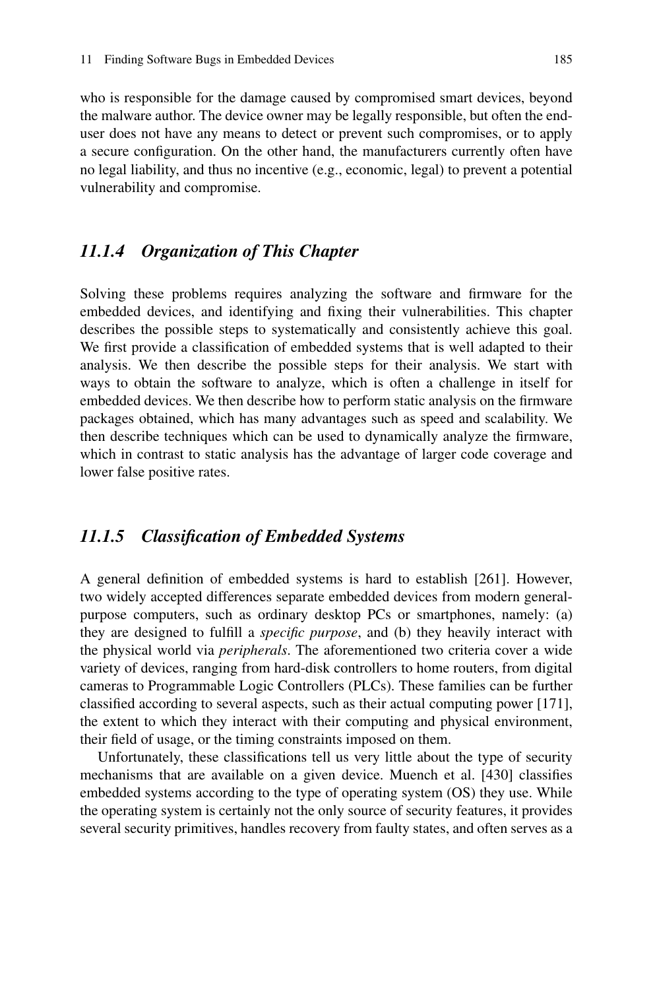who is responsible for the damage caused by compromised smart devices, beyond the malware author. The device owner may be legally responsible, but often the enduser does not have any means to detect or prevent such compromises, or to apply a secure configuration. On the other hand, the manufacturers currently often have no legal liability, and thus no incentive (e.g., economic, legal) to prevent a potential vulnerability and compromise.

## *11.1.4 Organization of This Chapter*

Solving these problems requires analyzing the software and firmware for the embedded devices, and identifying and fixing their vulnerabilities. This chapter describes the possible steps to systematically and consistently achieve this goal. We first provide a classification of embedded systems that is well adapted to their analysis. We then describe the possible steps for their analysis. We start with ways to obtain the software to analyze, which is often a challenge in itself for embedded devices. We then describe how to perform static analysis on the firmware packages obtained, which has many advantages such as speed and scalability. We then describe techniques which can be used to dynamically analyze the firmware, which in contrast to static analysis has the advantage of larger code coverage and lower false positive rates.

#### <span id="page-2-0"></span>*11.1.5 Classification of Embedded Systems*

A general definition of embedded systems is hard to establish [261]. However, two widely accepted differences separate embedded devices from modern generalpurpose computers, such as ordinary desktop PCs or smartphones, namely: (a) they are designed to fulfill a *specific purpose*, and (b) they heavily interact with the physical world via *peripherals*. The aforementioned two criteria cover a wide variety of devices, ranging from hard-disk controllers to home routers, from digital cameras to Programmable Logic Controllers (PLCs). These families can be further classified according to several aspects, such as their actual computing power [171], the extent to which they interact with their computing and physical environment, their field of usage, or the timing constraints imposed on them.

Unfortunately, these classifications tell us very little about the type of security mechanisms that are available on a given device. Muench et al. [430] classifies embedded systems according to the type of operating system (OS) they use. While the operating system is certainly not the only source of security features, it provides several security primitives, handles recovery from faulty states, and often serves as a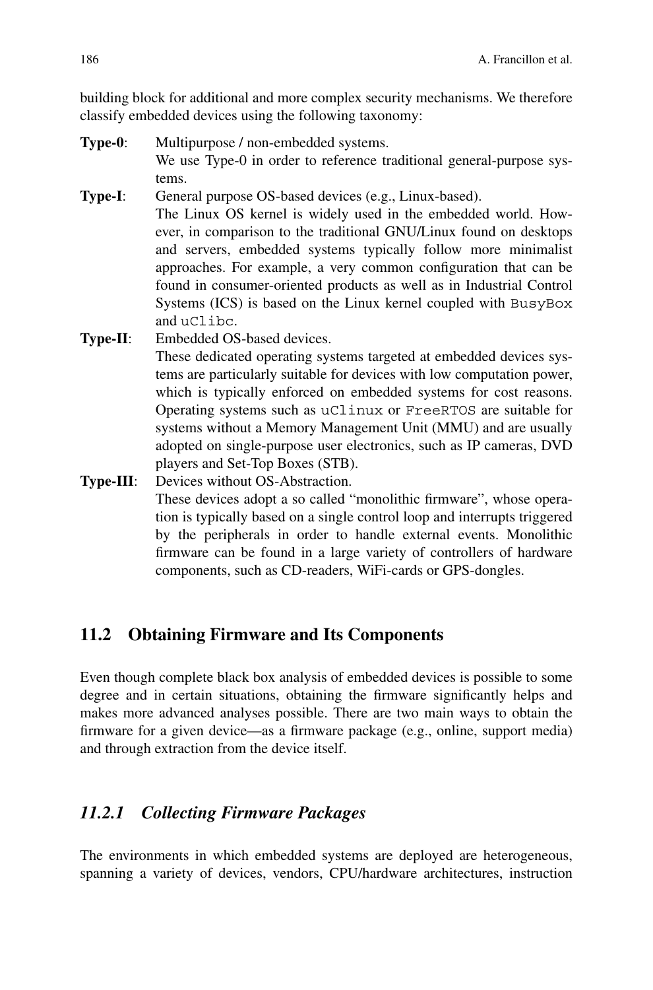building block for additional and more complex security mechanisms. We therefore classify embedded devices using the following taxonomy:

**Type-0**: Multipurpose / non-embedded systems. We use Type-0 in order to reference traditional general-purpose systems.

- **Type-I**: General purpose OS-based devices (e.g., Linux-based). The Linux OS kernel is widely used in the embedded world. However, in comparison to the traditional GNU/Linux found on desktops and servers, embedded systems typically follow more minimalist approaches. For example, a very common configuration that can be found in consumer-oriented products as well as in Industrial Control Systems (ICS) is based on the Linux kernel coupled with BusyBox and uClibc.
- **Type-II:** Embedded OS-based devices.

These dedicated operating systems targeted at embedded devices systems are particularly suitable for devices with low computation power, which is typically enforced on embedded systems for cost reasons. Operating systems such as uClinux or FreeRTOS are suitable for systems without a Memory Management Unit (MMU) and are usually adopted on single-purpose user electronics, such as IP cameras, DVD players and Set-Top Boxes (STB).

**Type-III**: Devices without OS-Abstraction.

These devices adopt a so called "monolithic firmware", whose operation is typically based on a single control loop and interrupts triggered by the peripherals in order to handle external events. Monolithic firmware can be found in a large variety of controllers of hardware components, such as CD-readers, WiFi-cards or GPS-dongles.

## **11.2 Obtaining Firmware and Its Components**

Even though complete black box analysis of embedded devices is possible to some degree and in certain situations, obtaining the firmware significantly helps and makes more advanced analyses possible. There are two main ways to obtain the firmware for a given device—as a firmware package (e.g., online, support media) and through extraction from the device itself.

## *11.2.1 Collecting Firmware Packages*

The environments in which embedded systems are deployed are heterogeneous, spanning a variety of devices, vendors, CPU/hardware architectures, instruction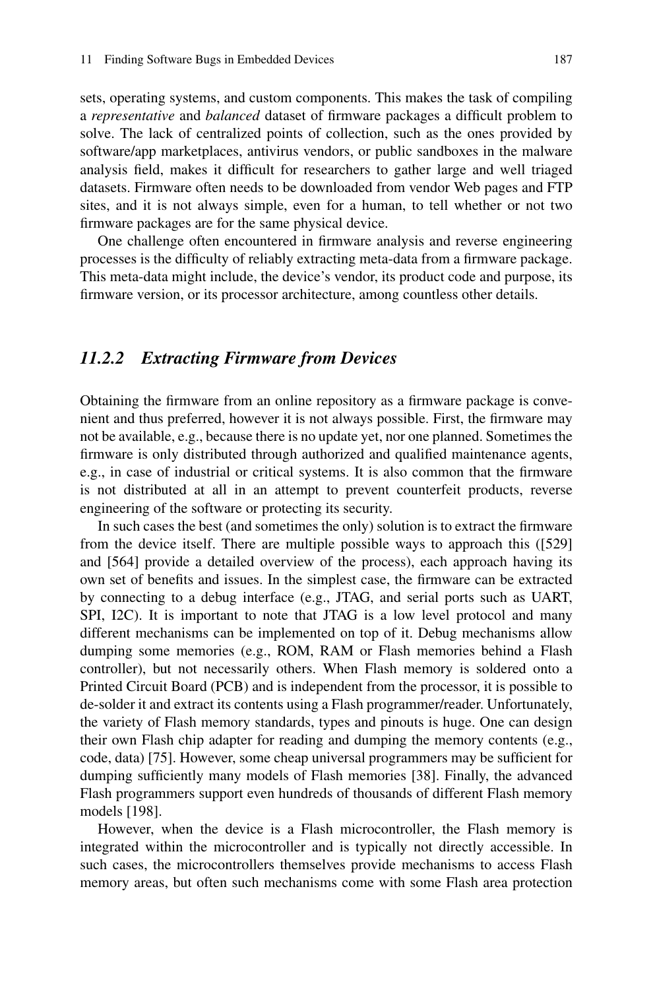sets, operating systems, and custom components. This makes the task of compiling a *representative* and *balanced* dataset of firmware packages a difficult problem to solve. The lack of centralized points of collection, such as the ones provided by software/app marketplaces, antivirus vendors, or public sandboxes in the malware analysis field, makes it difficult for researchers to gather large and well triaged datasets. Firmware often needs to be downloaded from vendor Web pages and FTP sites, and it is not always simple, even for a human, to tell whether or not two firmware packages are for the same physical device.

One challenge often encountered in firmware analysis and reverse engineering processes is the difficulty of reliably extracting meta-data from a firmware package. This meta-data might include, the device's vendor, its product code and purpose, its firmware version, or its processor architecture, among countless other details.

#### *11.2.2 Extracting Firmware from Devices*

Obtaining the firmware from an online repository as a firmware package is convenient and thus preferred, however it is not always possible. First, the firmware may not be available, e.g., because there is no update yet, nor one planned. Sometimes the firmware is only distributed through authorized and qualified maintenance agents, e.g., in case of industrial or critical systems. It is also common that the firmware is not distributed at all in an attempt to prevent counterfeit products, reverse engineering of the software or protecting its security.

In such cases the best (and sometimes the only) solution is to extract the firmware from the device itself. There are multiple possible ways to approach this ([529] and [564] provide a detailed overview of the process), each approach having its own set of benefits and issues. In the simplest case, the firmware can be extracted by connecting to a debug interface (e.g., JTAG, and serial ports such as UART, SPI, I2C). It is important to note that JTAG is a low level protocol and many different mechanisms can be implemented on top of it. Debug mechanisms allow dumping some memories (e.g., ROM, RAM or Flash memories behind a Flash controller), but not necessarily others. When Flash memory is soldered onto a Printed Circuit Board (PCB) and is independent from the processor, it is possible to de-solder it and extract its contents using a Flash programmer/reader. Unfortunately, the variety of Flash memory standards, types and pinouts is huge. One can design their own Flash chip adapter for reading and dumping the memory contents (e.g., code, data) [75]. However, some cheap universal programmers may be sufficient for dumping sufficiently many models of Flash memories [38]. Finally, the advanced Flash programmers support even hundreds of thousands of different Flash memory models [198].

However, when the device is a Flash microcontroller, the Flash memory is integrated within the microcontroller and is typically not directly accessible. In such cases, the microcontrollers themselves provide mechanisms to access Flash memory areas, but often such mechanisms come with some Flash area protection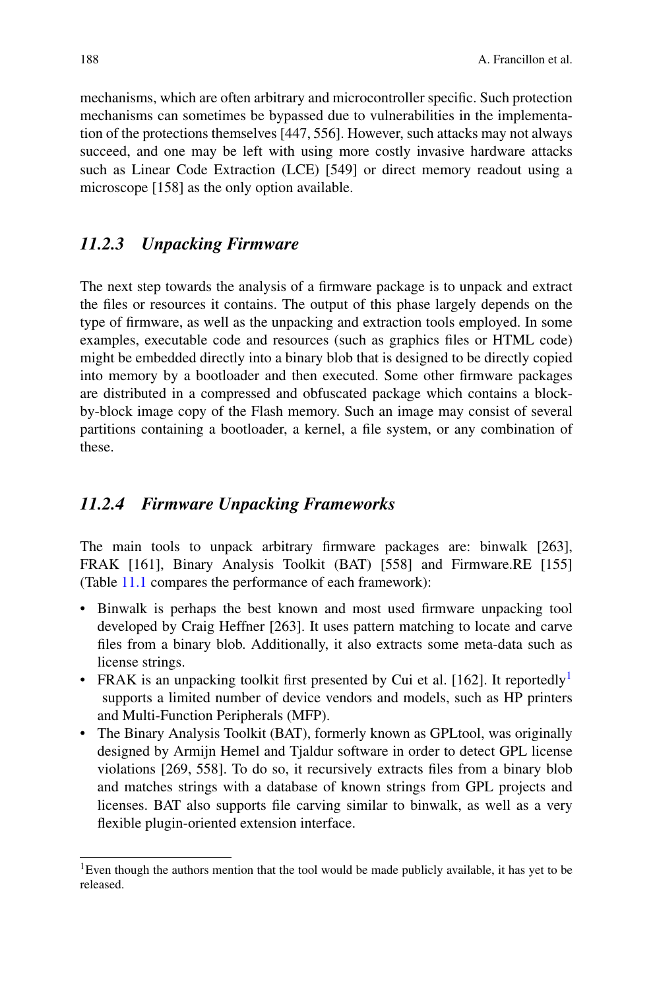mechanisms, which are often arbitrary and microcontroller specific. Such protection mechanisms can sometimes be bypassed due to vulnerabilities in the implementation of the protections themselves [447, 556]. However, such attacks may not always succeed, and one may be left with using more costly invasive hardware attacks such as Linear Code Extraction (LCE) [549] or direct memory readout using a microscope [158] as the only option available.

## *11.2.3 Unpacking Firmware*

The next step towards the analysis of a firmware package is to unpack and extract the files or resources it contains. The output of this phase largely depends on the type of firmware, as well as the unpacking and extraction tools employed. In some examples, executable code and resources (such as graphics files or HTML code) might be embedded directly into a binary blob that is designed to be directly copied into memory by a bootloader and then executed. Some other firmware packages are distributed in a compressed and obfuscated package which contains a blockby-block image copy of the Flash memory. Such an image may consist of several partitions containing a bootloader, a kernel, a file system, or any combination of these.

## *11.2.4 Firmware Unpacking Frameworks*

The main tools to unpack arbitrary firmware packages are: binwalk [263], FRAK [161], Binary Analysis Toolkit (BAT) [558] and Firmware.RE [155] (Table [11.1](#page-6-0) compares the performance of each framework):

- Binwalk is perhaps the best known and most used firmware unpacking tool developed by Craig Heffner [263]. It uses pattern matching to locate and carve files from a binary blob. Additionally, it also extracts some meta-data such as license strings.
- FRAK is an unpacking toolkit first presented by Cui et al. [162]. It reportedly supports a limited number of device vendors and models, such as HP printers and Multi-Function Peripherals (MFP).
- The Binary Analysis Toolkit (BAT), formerly known as GPLtool, was originally designed by Armijn Hemel and Tjaldur software in order to detect GPL license violations [269, 558]. To do so, it recursively extracts files from a binary blob and matches strings with a database of known strings from GPL projects and licenses. BAT also supports file carving similar to binwalk, as well as a very flexible plugin-oriented extension interface.

<sup>&</sup>lt;sup>1</sup>Even though the authors mention that the tool would be made publicly available, it has yet to be released.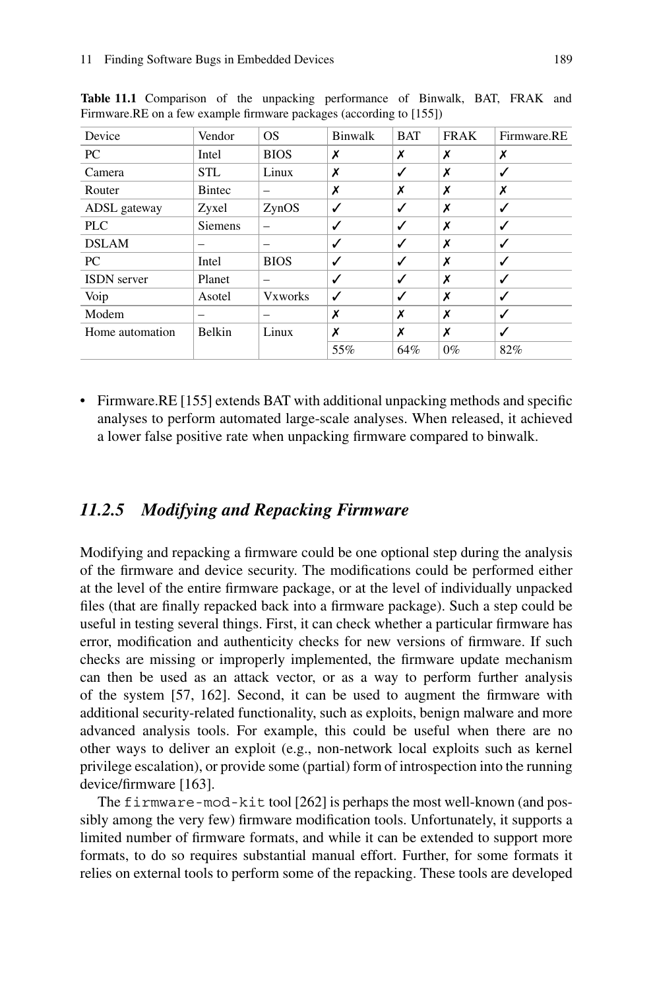| Vendor         | <b>OS</b>       | <b>Binwalk</b> | <b>BAT</b> | <b>FRAK</b> | Firmware.RE |
|----------------|-----------------|----------------|------------|-------------|-------------|
| Intel          | <b>BIOS</b>     | X              | X          | X           | х           |
| <b>STL</b>     | Linux           | X              | ✓          | X           | ✓           |
| <b>Bintec</b>  | -               | Х              | Х          | X           | Х           |
| Zyxel          | ZynOS           | ✓              | ✓          | X           | ✓           |
| <b>Siemens</b> | -               | ✓              | ✓          | X           | ✓           |
| -              | -               | ✓              | ✓          | X           | ✓           |
| Intel          | <b>BIOS</b>     | ✓              | ✓          | X           | ✓           |
| Planet         | -               | ✓              | ✓          | X           | ✓           |
| Asotel         | <b>V</b> xworks | ✓              | ✓          | х           | ✓           |
| -              | -               | X              | X          | X           | ✓           |
| Belkin         | Linux           | X              | x          | X           | ✓           |
|                |                 | 55%            | 64%        | $0\%$       | 82%         |
|                |                 |                |            |             |             |

<span id="page-6-0"></span>**Table 11.1** Comparison of the unpacking performance of Binwalk, BAT, FRAK and Firmware.RE on a few example firmware packages (according to [155])

• Firmware.RE [155] extends BAT with additional unpacking methods and specific analyses to perform automated large-scale analyses. When released, it achieved a lower false positive rate when unpacking firmware compared to binwalk.

### *11.2.5 Modifying and Repacking Firmware*

Modifying and repacking a firmware could be one optional step during the analysis of the firmware and device security. The modifications could be performed either at the level of the entire firmware package, or at the level of individually unpacked files (that are finally repacked back into a firmware package). Such a step could be useful in testing several things. First, it can check whether a particular firmware has error, modification and authenticity checks for new versions of firmware. If such checks are missing or improperly implemented, the firmware update mechanism can then be used as an attack vector, or as a way to perform further analysis of the system [57, 162]. Second, it can be used to augment the firmware with additional security-related functionality, such as exploits, benign malware and more advanced analysis tools. For example, this could be useful when there are no other ways to deliver an exploit (e.g., non-network local exploits such as kernel privilege escalation), or provide some (partial) form of introspection into the running device/firmware [163].

The firmware-mod-kit tool [262] is perhaps the most well-known (and possibly among the very few) firmware modification tools. Unfortunately, it supports a limited number of firmware formats, and while it can be extended to support more formats, to do so requires substantial manual effort. Further, for some formats it relies on external tools to perform some of the repacking. These tools are developed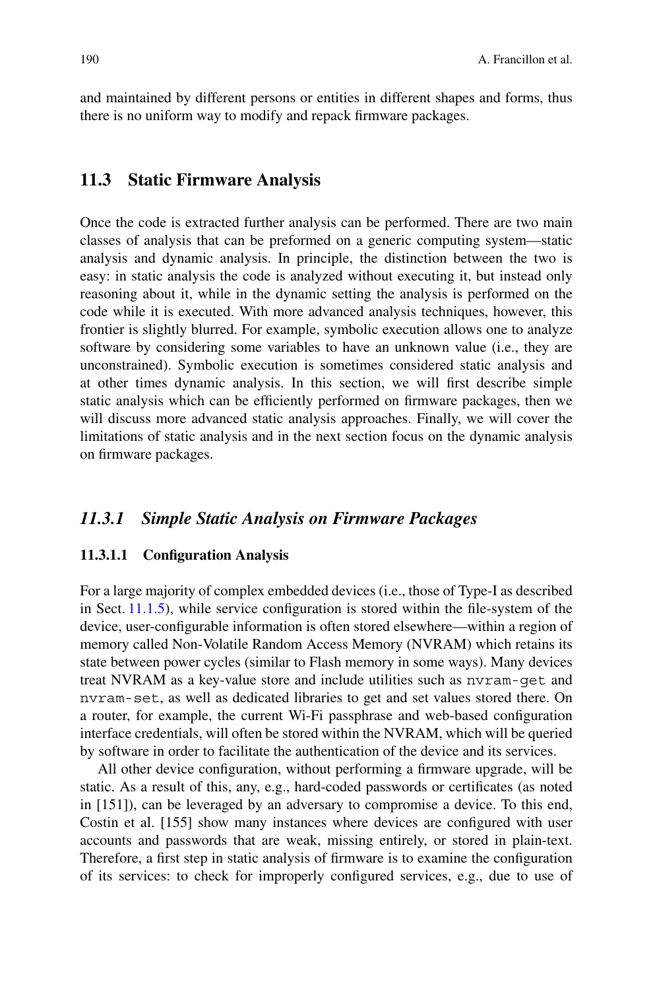and maintained by different persons or entities in different shapes and forms, thus there is no uniform way to modify and repack firmware packages.

#### **11.3 Static Firmware Analysis**

Once the code is extracted further analysis can be performed. There are two main classes of analysis that can be preformed on a generic computing system—static analysis and dynamic analysis. In principle, the distinction between the two is easy: in static analysis the code is analyzed without executing it, but instead only reasoning about it, while in the dynamic setting the analysis is performed on the code while it is executed. With more advanced analysis techniques, however, this frontier is slightly blurred. For example, symbolic execution allows one to analyze software by considering some variables to have an unknown value (i.e., they are unconstrained). Symbolic execution is sometimes considered static analysis and at other times dynamic analysis. In this section, we will first describe simple static analysis which can be efficiently performed on firmware packages, then we will discuss more advanced static analysis approaches. Finally, we will cover the limitations of static analysis and in the next section focus on the dynamic analysis on firmware packages.

### *11.3.1 Simple Static Analysis on Firmware Packages*

#### **11.3.1.1 Configuration Analysis**

For a large majority of complex embedded devices (i.e., those of Type-I as described in Sect. [11.1.5\)](#page-2-0), while service configuration is stored within the file-system of the device, user-configurable information is often stored elsewhere—within a region of memory called Non-Volatile Random Access Memory (NVRAM) which retains its state between power cycles (similar to Flash memory in some ways). Many devices treat NVRAM as a key-value store and include utilities such as nvram-get and nvram-set, as well as dedicated libraries to get and set values stored there. On a router, for example, the current Wi-Fi passphrase and web-based configuration interface credentials, will often be stored within the NVRAM, which will be queried by software in order to facilitate the authentication of the device and its services.

All other device configuration, without performing a firmware upgrade, will be static. As a result of this, any, e.g., hard-coded passwords or certificates (as noted in [151]), can be leveraged by an adversary to compromise a device. To this end, Costin et al. [155] show many instances where devices are configured with user accounts and passwords that are weak, missing entirely, or stored in plain-text. Therefore, a first step in static analysis of firmware is to examine the configuration of its services: to check for improperly configured services, e.g., due to use of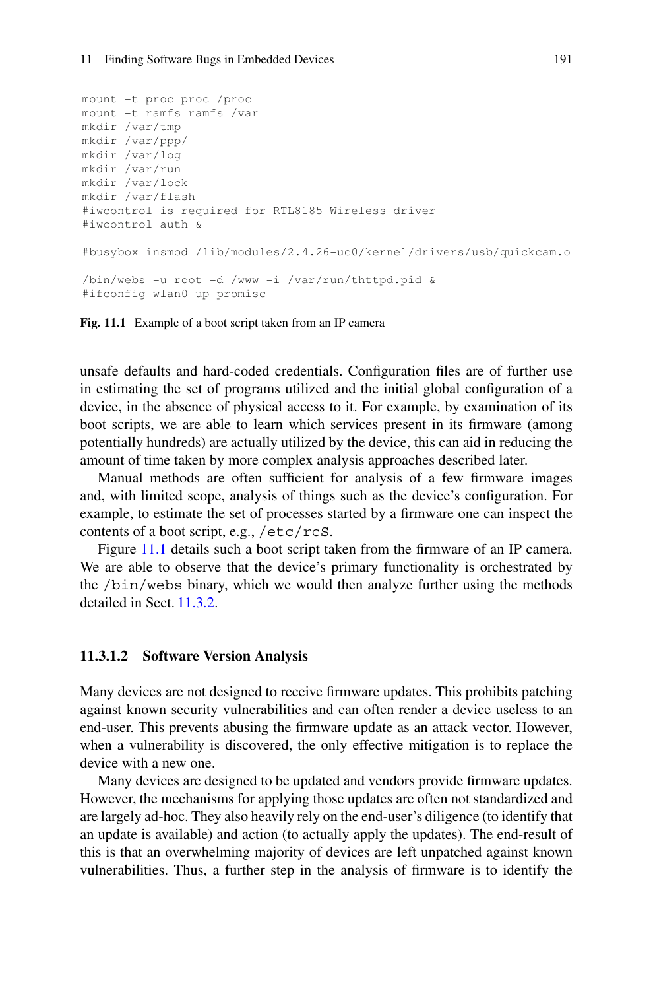```
mount -t proc proc /proc
mount -t ramfs ramfs /var
mkdir /var/tmp
mkdir /var/ppp/
mkdir /var/log
mkdir /var/run
mkdir /var/lock
mkdir /var/flash
#iwcontrol is required for RTL8185 Wireless driver
#iwcontrol auth &
#busybox insmod /lib/modules/2.4.26-uc0/kernel/drivers/usb/quickcam.o
/bin/webs -u root -d /www -i /var/run/thttpd.pid &
#ifconfig wlan0 up promisc
```
#### <span id="page-8-0"></span>**Fig. 11.1** Example of a boot script taken from an IP camera

unsafe defaults and hard-coded credentials. Configuration files are of further use in estimating the set of programs utilized and the initial global configuration of a device, in the absence of physical access to it. For example, by examination of its boot scripts, we are able to learn which services present in its firmware (among potentially hundreds) are actually utilized by the device, this can aid in reducing the amount of time taken by more complex analysis approaches described later.

Manual methods are often sufficient for analysis of a few firmware images and, with limited scope, analysis of things such as the device's configuration. For example, to estimate the set of processes started by a firmware one can inspect the contents of a boot script, e.g., /etc/rcS.

Figure [11.1](#page-8-0) details such a boot script taken from the firmware of an IP camera. We are able to observe that the device's primary functionality is orchestrated by the /bin/webs binary, which we would then analyze further using the methods detailed in Sect. [11.3.2.](#page-9-0)

#### **11.3.1.2 Software Version Analysis**

Many devices are not designed to receive firmware updates. This prohibits patching against known security vulnerabilities and can often render a device useless to an end-user. This prevents abusing the firmware update as an attack vector. However, when a vulnerability is discovered, the only effective mitigation is to replace the device with a new one.

Many devices are designed to be updated and vendors provide firmware updates. However, the mechanisms for applying those updates are often not standardized and are largely ad-hoc. They also heavily rely on the end-user's diligence (to identify that an update is available) and action (to actually apply the updates). The end-result of this is that an overwhelming majority of devices are left unpatched against known vulnerabilities. Thus, a further step in the analysis of firmware is to identify the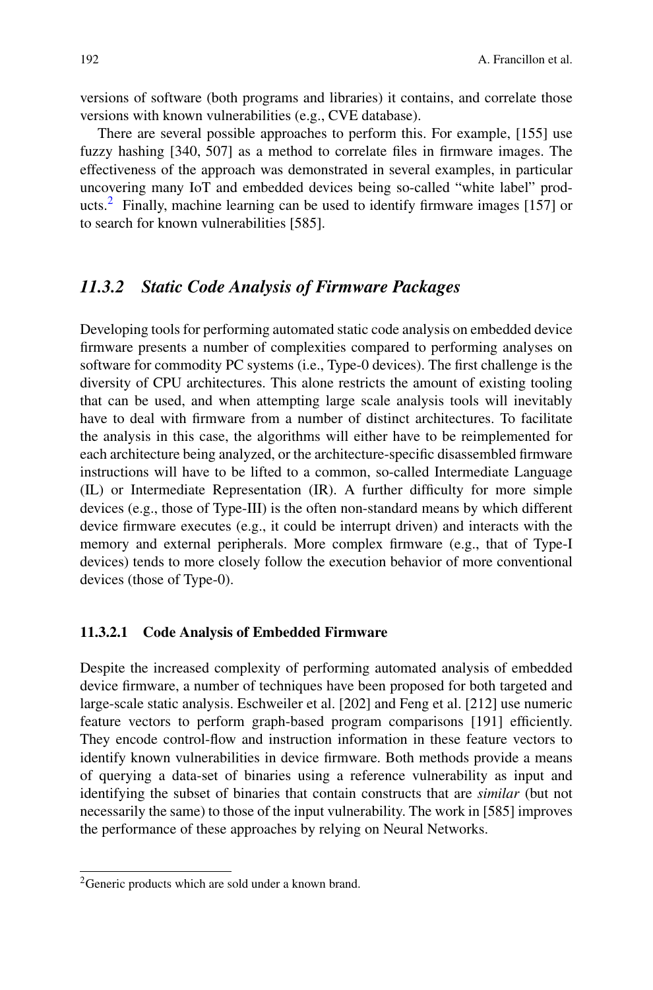versions of software (both programs and libraries) it contains, and correlate those versions with known vulnerabilities (e.g., CVE database).

There are several possible approaches to perform this. For example, [155] use fuzzy hashing [340, 507] as a method to correlate files in firmware images. The effectiveness of the approach was demonstrated in several examples, in particular uncovering many IoT and embedded devices being so-called "white label" products.<sup>2</sup> Finally, machine learning can be used to identify firmware images [157] or to search for known vulnerabilities [585].

### <span id="page-9-0"></span>*11.3.2 Static Code Analysis of Firmware Packages*

Developing tools for performing automated static code analysis on embedded device firmware presents a number of complexities compared to performing analyses on software for commodity PC systems (i.e., Type-0 devices). The first challenge is the diversity of CPU architectures. This alone restricts the amount of existing tooling that can be used, and when attempting large scale analysis tools will inevitably have to deal with firmware from a number of distinct architectures. To facilitate the analysis in this case, the algorithms will either have to be reimplemented for each architecture being analyzed, or the architecture-specific disassembled firmware instructions will have to be lifted to a common, so-called Intermediate Language (IL) or Intermediate Representation (IR). A further difficulty for more simple devices (e.g., those of Type-III) is the often non-standard means by which different device firmware executes (e.g., it could be interrupt driven) and interacts with the memory and external peripherals. More complex firmware (e.g., that of Type-I devices) tends to more closely follow the execution behavior of more conventional devices (those of Type-0).

#### **11.3.2.1 Code Analysis of Embedded Firmware**

Despite the increased complexity of performing automated analysis of embedded device firmware, a number of techniques have been proposed for both targeted and large-scale static analysis. Eschweiler et al. [202] and Feng et al. [212] use numeric feature vectors to perform graph-based program comparisons [191] efficiently. They encode control-flow and instruction information in these feature vectors to identify known vulnerabilities in device firmware. Both methods provide a means of querying a data-set of binaries using a reference vulnerability as input and identifying the subset of binaries that contain constructs that are *similar* (but not necessarily the same) to those of the input vulnerability. The work in [585] improves the performance of these approaches by relying on Neural Networks.

<span id="page-9-1"></span><sup>&</sup>lt;sup>2</sup>Generic products which are sold under a known brand.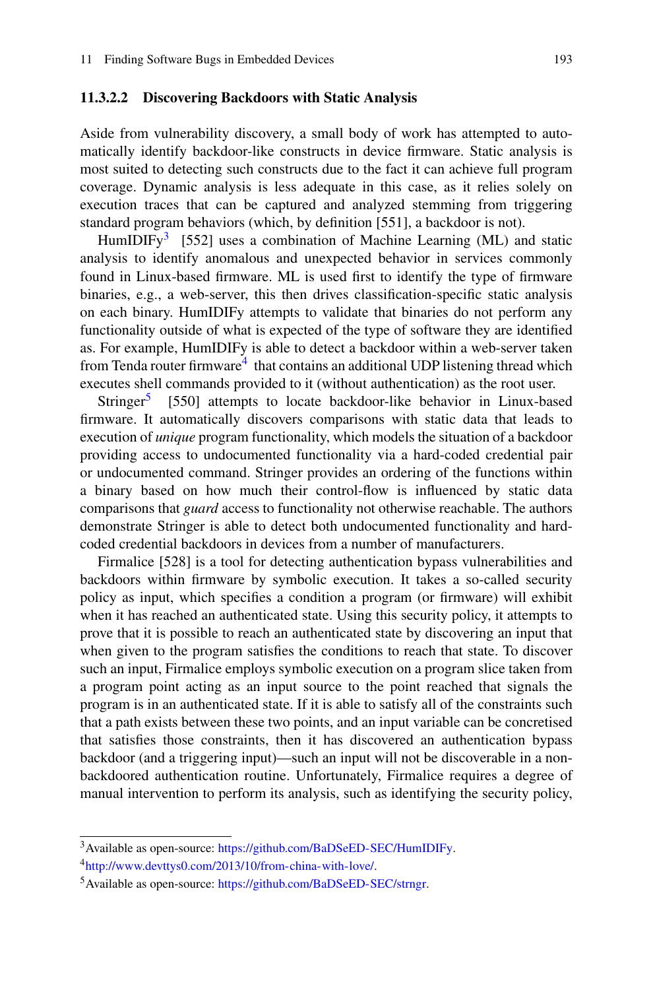#### <span id="page-10-3"></span>**11.3.2.2 Discovering Backdoors with Static Analysis**

Aside from vulnerability discovery, a small body of work has attempted to automatically identify backdoor-like constructs in device firmware. Static analysis is most suited to detecting such constructs due to the fact it can achieve full program coverage. Dynamic analysis is less adequate in this case, as it relies solely on execution traces that can be captured and analyzed stemming from triggering standard program behaviors (which, by definition [551], a backdoor is not).

HumIDIFy<sup>3</sup> [552] uses a combination of Machine Learning (ML) and static analysis to identify anomalous and unexpected behavior in services commonly found in Linux-based firmware. ML is used first to identify the type of firmware binaries, e.g., a web-server, this then drives classification-specific static analysis on each binary. HumIDIFy attempts to validate that binaries do not perform any functionality outside of what is expected of the type of software they are identified as. For example, HumIDIFy is able to detect a backdoor within a web-server taken from Tenda router firmware<sup>[4](#page-10-1)</sup> that contains an additional UDP listening thread which executes shell commands provided to it (without authentication) as the root user.

Stringer<sup>[5](#page-10-2)</sup> [550] attempts to locate backdoor-like behavior in Linux-based firmware. It automatically discovers comparisons with static data that leads to execution of *unique* program functionality, which models the situation of a backdoor providing access to undocumented functionality via a hard-coded credential pair or undocumented command. Stringer provides an ordering of the functions within a binary based on how much their control-flow is influenced by static data comparisons that *guard* access to functionality not otherwise reachable. The authors demonstrate Stringer is able to detect both undocumented functionality and hardcoded credential backdoors in devices from a number of manufacturers.

Firmalice [528] is a tool for detecting authentication bypass vulnerabilities and backdoors within firmware by symbolic execution. It takes a so-called security policy as input, which specifies a condition a program (or firmware) will exhibit when it has reached an authenticated state. Using this security policy, it attempts to prove that it is possible to reach an authenticated state by discovering an input that when given to the program satisfies the conditions to reach that state. To discover such an input, Firmalice employs symbolic execution on a program slice taken from a program point acting as an input source to the point reached that signals the program is in an authenticated state. If it is able to satisfy all of the constraints such that a path exists between these two points, and an input variable can be concretised that satisfies those constraints, then it has discovered an authentication bypass backdoor (and a triggering input)—such an input will not be discoverable in a nonbackdoored authentication routine. Unfortunately, Firmalice requires a degree of manual intervention to perform its analysis, such as identifying the security policy,

<span id="page-10-0"></span><sup>3</sup>Available as open-source: [https://github.com/BaDSeED-SEC/HumIDIFy.](https://github.com/BaDSeED-SEC/HumIDIFy)

<span id="page-10-1"></span>[<sup>4</sup>http://www.devttys0.com/2013/10/from-china-with-love/.](http://www.devttys0.com/2013/10/from-china-with-love/)

<span id="page-10-2"></span><sup>5</sup>Available as open-source: [https://github.com/BaDSeED-SEC/strngr.](https://github.com/BaDSeED-SEC/strngr)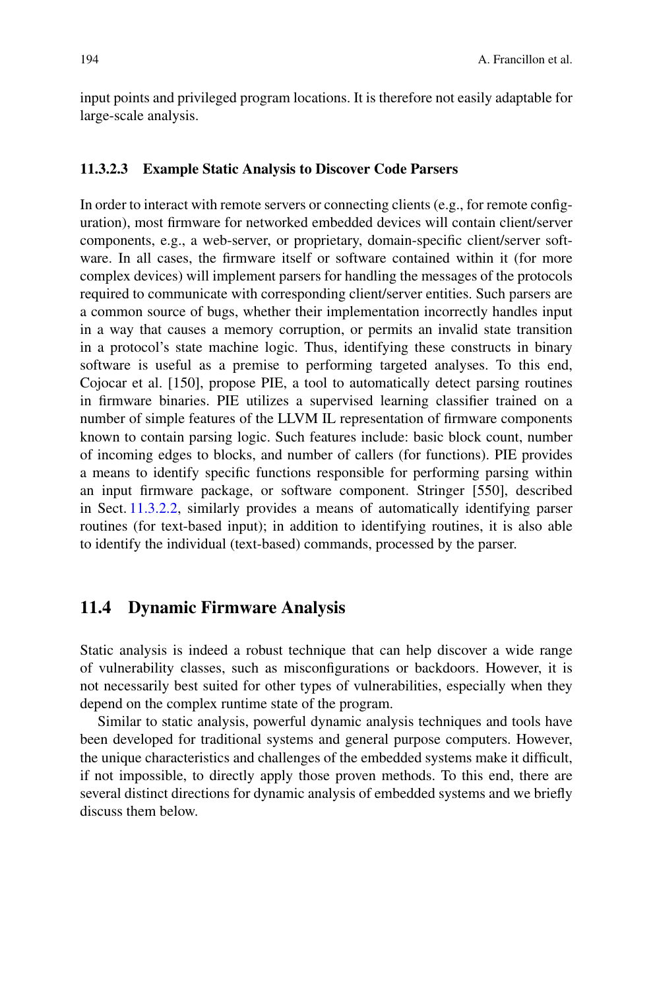input points and privileged program locations. It is therefore not easily adaptable for large-scale analysis.

#### **11.3.2.3 Example Static Analysis to Discover Code Parsers**

In order to interact with remote servers or connecting clients (e.g., for remote configuration), most firmware for networked embedded devices will contain client/server components, e.g., a web-server, or proprietary, domain-specific client/server software. In all cases, the firmware itself or software contained within it (for more complex devices) will implement parsers for handling the messages of the protocols required to communicate with corresponding client/server entities. Such parsers are a common source of bugs, whether their implementation incorrectly handles input in a way that causes a memory corruption, or permits an invalid state transition in a protocol's state machine logic. Thus, identifying these constructs in binary software is useful as a premise to performing targeted analyses. To this end, Cojocar et al. [150], propose PIE, a tool to automatically detect parsing routines in firmware binaries. PIE utilizes a supervised learning classifier trained on a number of simple features of the LLVM IL representation of firmware components known to contain parsing logic. Such features include: basic block count, number of incoming edges to blocks, and number of callers (for functions). PIE provides a means to identify specific functions responsible for performing parsing within an input firmware package, or software component. Stringer [550], described in Sect. [11.3.2.2,](#page-10-3) similarly provides a means of automatically identifying parser routines (for text-based input); in addition to identifying routines, it is also able to identify the individual (text-based) commands, processed by the parser.

### **11.4 Dynamic Firmware Analysis**

Static analysis is indeed a robust technique that can help discover a wide range of vulnerability classes, such as misconfigurations or backdoors. However, it is not necessarily best suited for other types of vulnerabilities, especially when they depend on the complex runtime state of the program.

Similar to static analysis, powerful dynamic analysis techniques and tools have been developed for traditional systems and general purpose computers. However, the unique characteristics and challenges of the embedded systems make it difficult, if not impossible, to directly apply those proven methods. To this end, there are several distinct directions for dynamic analysis of embedded systems and we briefly discuss them below.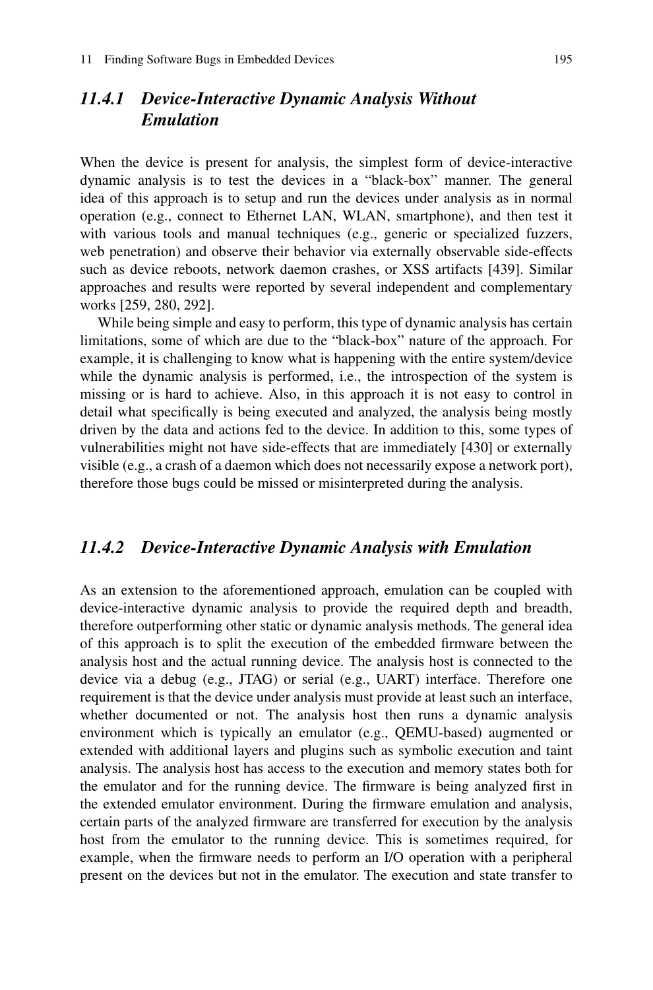## *11.4.1 Device-Interactive Dynamic Analysis Without Emulation*

When the device is present for analysis, the simplest form of device-interactive dynamic analysis is to test the devices in a "black-box" manner. The general idea of this approach is to setup and run the devices under analysis as in normal operation (e.g., connect to Ethernet LAN, WLAN, smartphone), and then test it with various tools and manual techniques (e.g., generic or specialized fuzzers, web penetration) and observe their behavior via externally observable side-effects such as device reboots, network daemon crashes, or XSS artifacts [439]. Similar approaches and results were reported by several independent and complementary works [259, 280, 292].

While being simple and easy to perform, this type of dynamic analysis has certain limitations, some of which are due to the "black-box" nature of the approach. For example, it is challenging to know what is happening with the entire system/device while the dynamic analysis is performed, i.e., the introspection of the system is missing or is hard to achieve. Also, in this approach it is not easy to control in detail what specifically is being executed and analyzed, the analysis being mostly driven by the data and actions fed to the device. In addition to this, some types of vulnerabilities might not have side-effects that are immediately [430] or externally visible (e.g., a crash of a daemon which does not necessarily expose a network port), therefore those bugs could be missed or misinterpreted during the analysis.

#### *11.4.2 Device-Interactive Dynamic Analysis with Emulation*

As an extension to the aforementioned approach, emulation can be coupled with device-interactive dynamic analysis to provide the required depth and breadth, therefore outperforming other static or dynamic analysis methods. The general idea of this approach is to split the execution of the embedded firmware between the analysis host and the actual running device. The analysis host is connected to the device via a debug (e.g., JTAG) or serial (e.g., UART) interface. Therefore one requirement is that the device under analysis must provide at least such an interface, whether documented or not. The analysis host then runs a dynamic analysis environment which is typically an emulator (e.g., QEMU-based) augmented or extended with additional layers and plugins such as symbolic execution and taint analysis. The analysis host has access to the execution and memory states both for the emulator and for the running device. The firmware is being analyzed first in the extended emulator environment. During the firmware emulation and analysis, certain parts of the analyzed firmware are transferred for execution by the analysis host from the emulator to the running device. This is sometimes required, for example, when the firmware needs to perform an I/O operation with a peripheral present on the devices but not in the emulator. The execution and state transfer to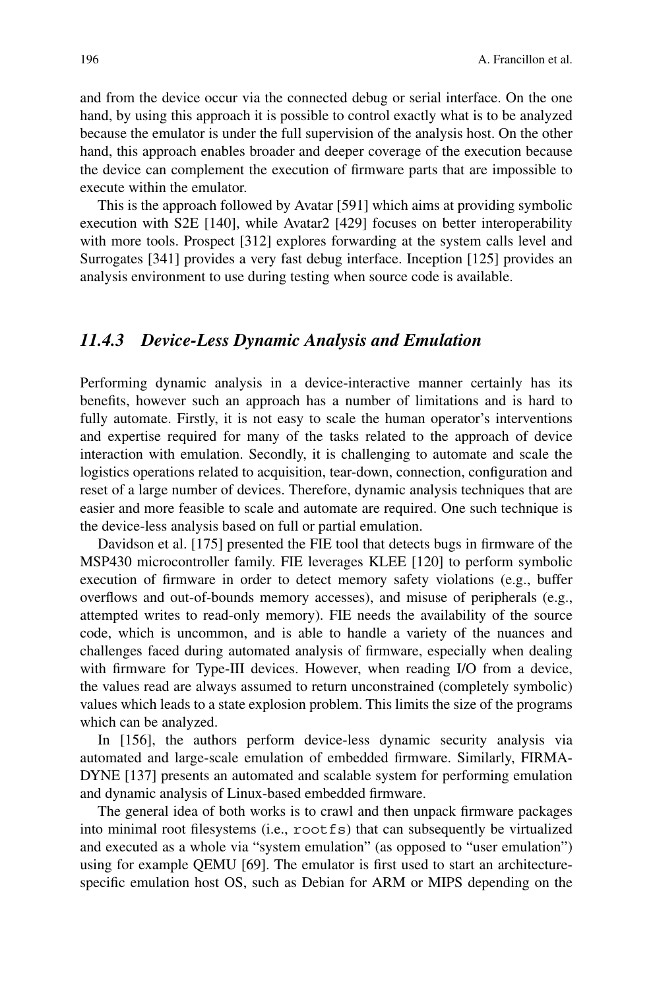and from the device occur via the connected debug or serial interface. On the one hand, by using this approach it is possible to control exactly what is to be analyzed because the emulator is under the full supervision of the analysis host. On the other hand, this approach enables broader and deeper coverage of the execution because the device can complement the execution of firmware parts that are impossible to execute within the emulator.

This is the approach followed by Avatar [591] which aims at providing symbolic execution with S2E [140], while Avatar2 [429] focuses on better interoperability with more tools. Prospect [312] explores forwarding at the system calls level and Surrogates [341] provides a very fast debug interface. Inception [125] provides an analysis environment to use during testing when source code is available.

#### *11.4.3 Device-Less Dynamic Analysis and Emulation*

Performing dynamic analysis in a device-interactive manner certainly has its benefits, however such an approach has a number of limitations and is hard to fully automate. Firstly, it is not easy to scale the human operator's interventions and expertise required for many of the tasks related to the approach of device interaction with emulation. Secondly, it is challenging to automate and scale the logistics operations related to acquisition, tear-down, connection, configuration and reset of a large number of devices. Therefore, dynamic analysis techniques that are easier and more feasible to scale and automate are required. One such technique is the device-less analysis based on full or partial emulation.

Davidson et al. [175] presented the FIE tool that detects bugs in firmware of the MSP430 microcontroller family. FIE leverages KLEE [120] to perform symbolic execution of firmware in order to detect memory safety violations (e.g., buffer overflows and out-of-bounds memory accesses), and misuse of peripherals (e.g., attempted writes to read-only memory). FIE needs the availability of the source code, which is uncommon, and is able to handle a variety of the nuances and challenges faced during automated analysis of firmware, especially when dealing with firmware for Type-III devices. However, when reading I/O from a device, the values read are always assumed to return unconstrained (completely symbolic) values which leads to a state explosion problem. This limits the size of the programs which can be analyzed.

In [156], the authors perform device-less dynamic security analysis via automated and large-scale emulation of embedded firmware. Similarly, FIRMA-DYNE [137] presents an automated and scalable system for performing emulation and dynamic analysis of Linux-based embedded firmware.

The general idea of both works is to crawl and then unpack firmware packages into minimal root filesystems (i.e., rootfs) that can subsequently be virtualized and executed as a whole via "system emulation" (as opposed to "user emulation") using for example QEMU [69]. The emulator is first used to start an architecturespecific emulation host OS, such as Debian for ARM or MIPS depending on the